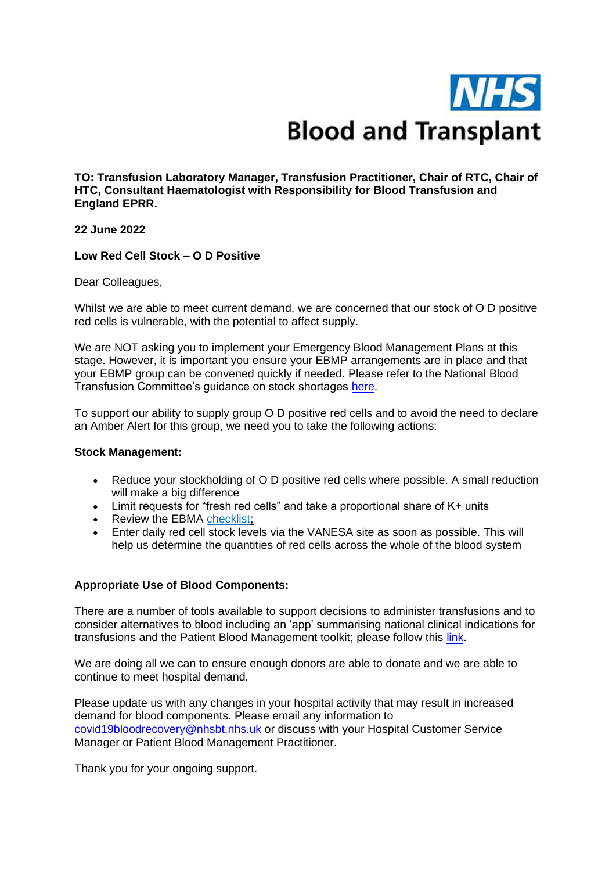

**TO: Transfusion Laboratory Manager, Transfusion Practitioner, Chair of RTC, Chair of HTC, Consultant Haematologist with Responsibility for Blood Transfusion and England EPRR.**

## **22 June 2022**

## **Low Red Cell Stock – O D Positive**

Dear Colleagues,

Whilst we are able to meet current demand, we are concerned that our stock of O D positive red cells is vulnerable, with the potential to affect supply.

We are NOT asking you to implement your Emergency Blood Management Plans at this stage. However, it is important you ensure your EBMP arrangements are in place and that your EBMP group can be convened quickly if needed. Please refer to the National Blood Transfusion Committee's guidance on stock shortages [here.](https://www.transfusionguidelines.org/uk-transfusion-committees/national-blood-transfusion-committee/responses-and-recommendations)

To support our ability to supply group O D positive red cells and to avoid the need to declare an Amber Alert for this group, we need you to take the following actions:

#### **Stock Management:**

- Reduce your stockholding of O D positive red cells where possible. A small reduction will make a big difference
- Limit requests for "fresh red cells" and take a proportional share of K+ units
- Review the EBMA checklist:
- Enter daily red cell stock levels via the VANESA site as soon as possible. This will help us determine the quantities of red cells across the whole of the blood system

# **Appropriate Use of Blood Components:**

There are a number of tools available to support decisions to administer transfusions and to consider alternatives to blood including an 'app' summarising national clinical indications for transfusions and the Patient Blood Management toolkit; please follow this [link.](https://hospital.blood.co.uk/patient-services/patient-blood-management/)

We are doing all we can to ensure enough donors are able to donate and we are able to continue to meet hospital demand.

Please update us with any changes in your hospital activity that may result in increased demand for blood components. Please email any information to [covid19bloodrecovery@nhsbt.nhs.uk](mailto:covid19bloodrecovery@nhsbt.nhs.uk) or discuss with your Hospital Customer Service Manager or Patient Blood Management Practitioner.

Thank you for your ongoing support.